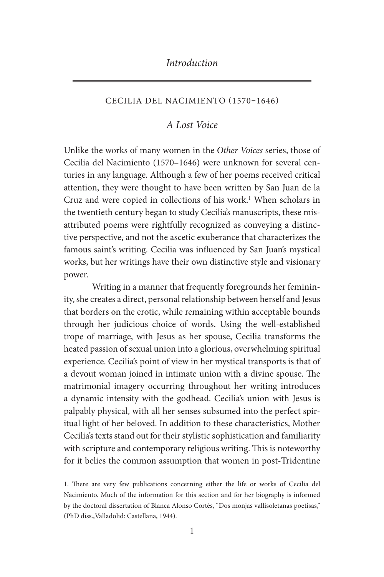### *Introduction*

### CECILIA DEL NACIMIENTO (1570–1646)

### *A Lost Voice*

Unlike the works of many women in the *Other Voices* series, those of Cecilia del Nacimiento (1570–1646) were unknown for several centuries in any language. Although a few of her poems received critical attention, they were thought to have been written by San Juan de la Cruz and were copied in collections of his work.<sup>1</sup> When scholars in the twentieth century began to study Cecilia's manuscripts, these misattributed poems were rightfully recognized as conveying a distinctive perspective, and not the ascetic exuberance that characterizes the famous saint's writing. Cecilia was influenced by San Juan's mystical works, but her writings have their own distinctive style and visionary power.

Writing in a manner that frequently foregrounds her femininity, she creates a direct, personal relationship between herself and Jesus that borders on the erotic, while remaining within acceptable bounds through her judicious choice of words. Using the well-established trope of marriage, with Jesus as her spouse, Cecilia transforms the heated passion of sexual union into a glorious, overwhelming spiritual experience. Cecilia's point of view in her mystical transports is that of a devout woman joined in intimate union with a divine spouse. The matrimonial imagery occurring throughout her writing introduces a dynamic intensity with the godhead. Cecilia's union with Jesus is palpably physical, with all her senses subsumed into the perfect spiritual light of her beloved. In addition to these characteristics, Mother Cecilia's texts stand out for their stylistic sophistication and familiarity with scripture and contemporary religious writing. This is noteworthy for it belies the common assumption that women in post-Tridentine

1. There are very few publications concerning either the life or works of Cecilia del Nacimiento. Much of the information for this section and for her biography is informed by the doctoral dissertation of Blanca Alonso Cortés, "Dos monjas vallisoletanas poetisas," (PhD diss.,Valladolid: Castellana, 1944).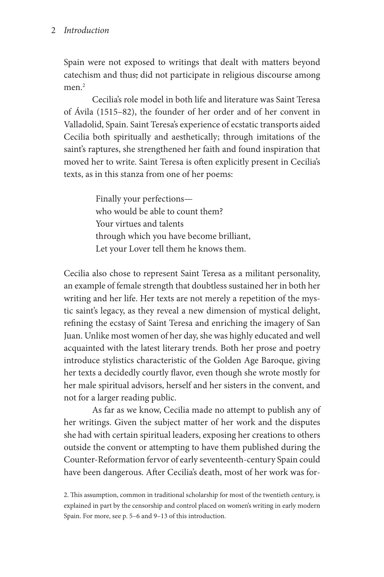### 2 *Introduction*

Spain were not exposed to writings that dealt with matters beyond catechism and thus, did not participate in religious discourse among men.<sup>2</sup>

Cecilia's role model in both life and literature was Saint Teresa of Ávila (1515–82), the founder of her order and of her convent in Valladolid, Spain. Saint Teresa's experience of ecstatic transports aided Cecilia both spiritually and aesthetically; through imitations of the saint's raptures, she strengthened her faith and found inspiration that moved her to write. Saint Teresa is often explicitly present in Cecilia's texts, as in this stanza from one of her poems:

> Finally your perfections who would be able to count them? Your virtues and talents through which you have become brilliant, Let your Lover tell them he knows them.

Cecilia also chose to represent Saint Teresa as a militant personality, an example of female strength that doubtless sustained her in both her writing and her life. Her texts are not merely a repetition of the mystic saint's legacy, as they reveal a new dimension of mystical delight, refining the ecstasy of Saint Teresa and enriching the imagery of San Juan. Unlike most women of her day, she was highly educated and well acquainted with the latest literary trends. Both her prose and poetry introduce stylistics characteristic of the Golden Age Baroque, giving her texts a decidedly courtly flavor, even though she wrote mostly for her male spiritual advisors, herself and her sisters in the convent, and not for a larger reading public.

As far as we know, Cecilia made no attempt to publish any of her writings. Given the subject matter of her work and the disputes she had with certain spiritual leaders, exposing her creations to others outside the convent or attempting to have them published during the Counter-Reformation fervor of early seventeenth-century Spain could have been dangerous. After Cecilia's death, most of her work was for-

<sup>2.</sup> This assumption, common in traditional scholarship for most of the twentieth century, is explained in part by the censorship and control placed on women's writing in early modern Spain. For more, see p. 5–6 and 9–13 of this introduction.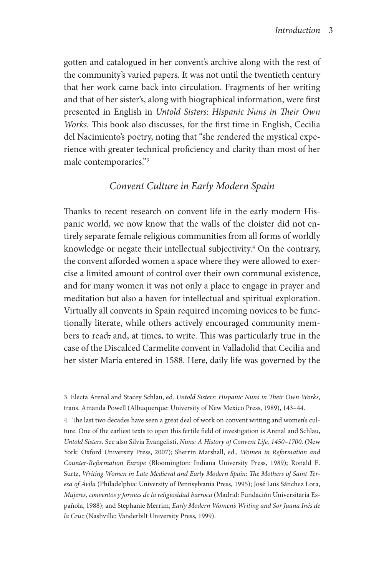gotten and catalogued in her convent's archive along with the rest of the community's varied papers. It was not until the twentieth century that her work came back into circulation. Fragments of her writing and that of her sister's, along with biographical information, were first presented in English in *Untold Sisters: Hispanic Nuns in Their Own Works.* This book also discusses, for the first time in English, Cecilia del Nacimiento's poetry, noting that "she rendered the mystical experience with greater technical proficiency and clarity than most of her male contemporaries."3

# *Convent Culture in Early Modern Spain*

Thanks to recent research on convent life in the early modern Hispanic world, we now know that the walls of the cloister did not entirely separate female religious communities from all forms of worldly knowledge or negate their intellectual subjectivity.<sup>4</sup> On the contrary, the convent afforded women a space where they were allowed to exercise a limited amount of control over their own communal existence, and for many women it was not only a place to engage in prayer and meditation but also a haven for intellectual and spiritual exploration. Virtually all convents in Spain required incoming novices to be functionally literate, while others actively encouraged community members to read, and, at times, to write. This was particularly true in the case of the Discalced Carmelite convent in Valladolid that Cecilia and her sister María entered in 1588. Here, daily life was governed by the

4. The last two decades have seen a great deal of work on convent writing and women's culture. One of the earliest texts to open this fertile field of investigation is Arenal and Schlau, *Untold Sisters*. See also Silvia Evangelisti, *Nuns: A History of Convent Life, 1450–1700*. (New York: Oxford University Press, 2007); Sherrin Marshall, ed., *Women in Reformation and Counter-Reformation Europe* (Bloomington: Indiana University Press, 1989); Ronald E. Surtz, *Writing Women in Late Medieval and Early Modern Spain: The Mothers of Saint Teresa of Ávila* (Philadelphia: University of Pennsylvania Press, 1995); José Luis Sánchez Lora, *Mujeres, conventos y formas de la religiosidad barroca* (Madrid: Fundación Universitaria Española, 1988); and Stephanie Merrim, *Early Modern Women's Writing and Sor Juana Inés de la Cruz* (Nashville: Vanderbilt University Press, 1999).

<sup>3.</sup> Electa Arenal and Stacey Schlau, ed. *Untold Sisters: Hispanic Nuns in Their Own Works*, trans. Amanda Powell (Albuquerque: University of New Mexico Press, 1989), 143–44.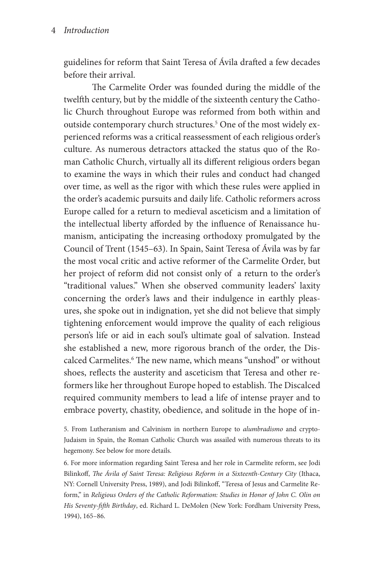guidelines for reform that Saint Teresa of Ávila drafted a few decades before their arrival.

The Carmelite Order was founded during the middle of the twelfth century, but by the middle of the sixteenth century the Catholic Church throughout Europe was reformed from both within and outside contemporary church structures.<sup>5</sup> One of the most widely experienced reforms was a critical reassessment of each religious order's culture. As numerous detractors attacked the status quo of the Roman Catholic Church, virtually all its different religious orders began to examine the ways in which their rules and conduct had changed over time, as well as the rigor with which these rules were applied in the order's academic pursuits and daily life. Catholic reformers across Europe called for a return to medieval asceticism and a limitation of the intellectual liberty afforded by the influence of Renaissance humanism, anticipating the increasing orthodoxy promulgated by the Council of Trent (1545–63). In Spain, Saint Teresa of Ávila was by far the most vocal critic and active reformer of the Carmelite Order, but her project of reform did not consist only of a return to the order's "traditional values." When she observed community leaders' laxity concerning the order's laws and their indulgence in earthly pleasures, she spoke out in indignation, yet she did not believe that simply tightening enforcement would improve the quality of each religious person's life or aid in each soul's ultimate goal of salvation. Instead she established a new, more rigorous branch of the order, the Discalced Carmelites.<sup>6</sup> The new name, which means "unshod" or without shoes, reflects the austerity and asceticism that Teresa and other reformers like her throughout Europe hoped to establish. The Discalced required community members to lead a life of intense prayer and to embrace poverty, chastity, obedience, and solitude in the hope of in-

6. For more information regarding Saint Teresa and her role in Carmelite reform, see Jodi Bilinkoff, *The Ávila of Saint Teresa: Religious Reform in a Sixteenth-Century City* (Ithaca, NY: Cornell University Press, 1989), and Jodi Bilinkoff, "Teresa of Jesus and Carmelite Reform," in *Religious Orders of the Catholic Reformation: Studies in Honor of John C. Olin on His Seventy-fifth Birthday*, ed. Richard L. DeMolen (New York: Fordham University Press, 1994), 165–86.

<sup>5.</sup> From Lutheranism and Calvinism in northern Europe to *alumbradismo* and crypto-Judaism in Spain, the Roman Catholic Church was assailed with numerous threats to its hegemony. See below for more details.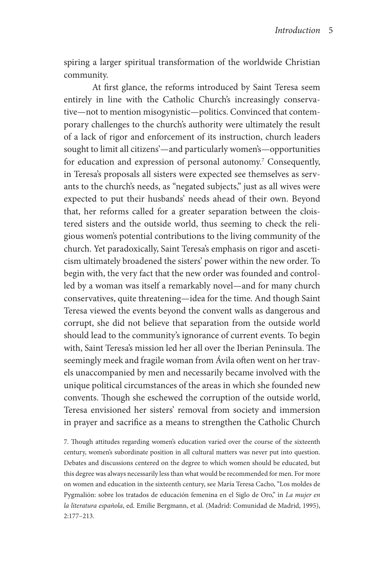spiring a larger spiritual transformation of the worldwide Christian community.

At first glance, the reforms introduced by Saint Teresa seem entirely in line with the Catholic Church's increasingly conservative—not to mention misogynistic—politics. Convinced that contemporary challenges to the church's authority were ultimately the result of a lack of rigor and enforcement of its instruction, church leaders sought to limit all citizens'—and particularly women's—opportunities for education and expression of personal autonomy.<sup>7</sup> Consequently, in Teresa's proposals all sisters were expected see themselves as servants to the church's needs, as "negated subjects," just as all wives were expected to put their husbands' needs ahead of their own. Beyond that, her reforms called for a greater separation between the cloistered sisters and the outside world, thus seeming to check the religious women's potential contributions to the living community of the church. Yet paradoxically, Saint Teresa's emphasis on rigor and asceticism ultimately broadened the sisters' power within the new order. To begin with, the very fact that the new order was founded and controlled by a woman was itself a remarkably novel—and for many church conservatives, quite threatening—idea for the time. And though Saint Teresa viewed the events beyond the convent walls as dangerous and corrupt, she did not believe that separation from the outside world should lead to the community's ignorance of current events. To begin with, Saint Teresa's mission led her all over the Iberian Peninsula. The seemingly meek and fragile woman from Ávila often went on her travels unaccompanied by men and necessarily became involved with the unique political circumstances of the areas in which she founded new convents. Though she eschewed the corruption of the outside world, Teresa envisioned her sisters' removal from society and immersion in prayer and sacrifice as a means to strengthen the Catholic Church

7. Though attitudes regarding women's education varied over the course of the sixteenth century, women's subordinate position in all cultural matters was never put into question. Debates and discussions centered on the degree to which women should be educated, but this degree was always necessarily less than what would be recommended for men. For more on women and education in the sixteenth century, see María Teresa Cacho, "Los moldes de Pygmalión: sobre los tratados de educación femenina en el Siglo de Oro," in *La mujer en la literatura española*, ed. Emilie Bergmann, et al. (Madrid: Comunidad de Madrid, 1995), 2:177–213.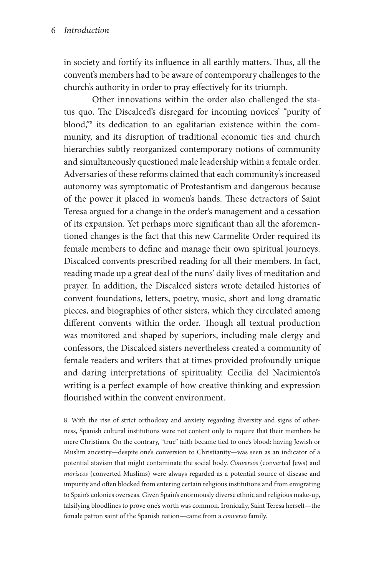in society and fortify its influence in all earthly matters. Thus, all the convent's members had to be aware of contemporary challenges to the church's authority in order to pray effectively for its triumph.

Other innovations within the order also challenged the status quo. The Discalced's disregard for incoming novices' "purity of blood,"<sup>8</sup> its dedication to an egalitarian existence within the community, and its disruption of traditional economic ties and church hierarchies subtly reorganized contemporary notions of community and simultaneously questioned male leadership within a female order. Adversaries of these reforms claimed that each community's increased autonomy was symptomatic of Protestantism and dangerous because of the power it placed in women's hands. These detractors of Saint Teresa argued for a change in the order's management and a cessation of its expansion. Yet perhaps more significant than all the aforementioned changes is the fact that this new Carmelite Order required its female members to define and manage their own spiritual journeys. Discalced convents prescribed reading for all their members. In fact, reading made up a great deal of the nuns' daily lives of meditation and prayer. In addition, the Discalced sisters wrote detailed histories of convent foundations, letters, poetry, music, short and long dramatic pieces, and biographies of other sisters, which they circulated among different convents within the order. Though all textual production was monitored and shaped by superiors, including male clergy and confessors, the Discalced sisters nevertheless created a community of female readers and writers that at times provided profoundly unique and daring interpretations of spirituality. Cecilia del Nacimiento's writing is a perfect example of how creative thinking and expression flourished within the convent environment.

8. With the rise of strict orthodoxy and anxiety regarding diversity and signs of otherness, Spanish cultural institutions were not content only to require that their members be mere Christians. On the contrary, "true" faith became tied to one's blood: having Jewish or Muslim ancestry—despite one's conversion to Christianity—was seen as an indicator of a potential atavism that might contaminate the social body. *Conversos* (converted Jews) and *moriscos* (converted Muslims) were always regarded as a potential source of disease and impurity and often blocked from entering certain religious institutions and from emigrating to Spain's colonies overseas. Given Spain's enormously diverse ethnic and religious make-up, falsifying bloodlines to prove one's worth was common. Ironically, Saint Teresa herself—the female patron saint of the Spanish nation—came from a *converso* family.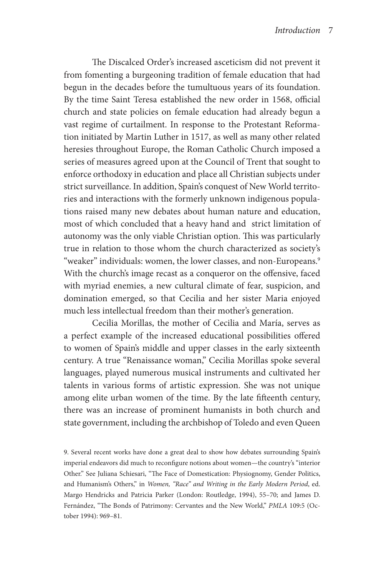The Discalced Order's increased asceticism did not prevent it from fomenting a burgeoning tradition of female education that had begun in the decades before the tumultuous years of its foundation. By the time Saint Teresa established the new order in 1568, official church and state policies on female education had already begun a vast regime of curtailment. In response to the Protestant Reformation initiated by Martin Luther in 1517, as well as many other related heresies throughout Europe, the Roman Catholic Church imposed a series of measures agreed upon at the Council of Trent that sought to enforce orthodoxy in education and place all Christian subjects under strict surveillance. In addition, Spain's conquest of New World territories and interactions with the formerly unknown indigenous populations raised many new debates about human nature and education, most of which concluded that a heavy hand and strict limitation of autonomy was the only viable Christian option. This was particularly true in relation to those whom the church characterized as society's "weaker" individuals: women, the lower classes, and non-Europeans.<sup>9</sup> With the church's image recast as a conqueror on the offensive, faced with myriad enemies, a new cultural climate of fear, suspicion, and domination emerged, so that Cecilia and her sister Maria enjoyed much less intellectual freedom than their mother's generation.

Cecilia Morillas, the mother of Cecilia and María, serves as a perfect example of the increased educational possibilities offered to women of Spain's middle and upper classes in the early sixteenth century. A true "Renaissance woman," Cecilia Morillas spoke several languages, played numerous musical instruments and cultivated her talents in various forms of artistic expression. She was not unique among elite urban women of the time. By the late fifteenth century, there was an increase of prominent humanists in both church and state government, including the archbishop of Toledo and even Queen

9. Several recent works have done a great deal to show how debates surrounding Spain's imperial endeavors did much to reconfigure notions about women—the country's "interior Other." See Juliana Schiesari, "The Face of Domestication: Physiognomy, Gender Politics, and Humanism's Others," in *Women, "Race" and Writing in the Early Modern Period*, ed. Margo Hendricks and Patricia Parker (London: Routledge, 1994), 55–70; and James D. Fernández, "The Bonds of Patrimony: Cervantes and the New World," *PMLA* 109:5 (October 1994): 969–81.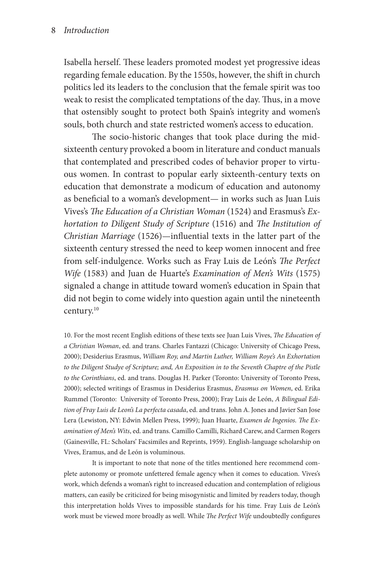Isabella herself. These leaders promoted modest yet progressive ideas regarding female education. By the 1550s, however, the shift in church politics led its leaders to the conclusion that the female spirit was too weak to resist the complicated temptations of the day. Thus, in a move that ostensibly sought to protect both Spain's integrity and women's souls, both church and state restricted women's access to education.

The socio-historic changes that took place during the midsixteenth century provoked a boom in literature and conduct manuals that contemplated and prescribed codes of behavior proper to virtuous women. In contrast to popular early sixteenth-century texts on education that demonstrate a modicum of education and autonomy as beneficial to a woman's development— in works such as Juan Luis Vives's *The Education of a Christian Woman* (1524) and Erasmus's *Exhortation to Diligent Study of Scripture* (1516) and *The Institution of Christian Marriage* (1526)—influential texts in the latter part of the sixteenth century stressed the need to keep women innocent and free from self-indulgence. Works such as Fray Luis de León's *The Perfect Wife* (1583) and Juan de Huarte's *Examination of Men's Wits* (1575) signaled a change in attitude toward women's education in Spain that did not begin to come widely into question again until the nineteenth century.10

10. For the most recent English editions of these texts see Juan Luis Vives, *The Education of a Christian Woman*, ed. and trans. Charles Fantazzi (Chicago: University of Chicago Press, 2000); Desiderius Erasmus, *William Roy, and Martin Luther, William Roye's An Exhortation to the Diligent Studye of Scripture; and, An Exposition in to the Seventh Chaptre of the Pistle to the Corinthians*, ed. and trans. Douglas H. Parker (Toronto: University of Toronto Press, 2000); selected writings of Erasmus in Desiderius Erasmus, *Erasmus on Women*, ed. Erika Rummel (Toronto: University of Toronto Press, 2000); Fray Luis de León, *A Bilingual Edition of Fray Luis de Leon's La perfecta casada*, ed. and trans. John A. Jones and Javier San Jose Lera (Lewiston, NY: Edwin Mellen Press, 1999); Juan Huarte, *Examen de Ingenios. The Examination of Men's Wits*, ed. and trans. Camillo Camilli, Richard Carew, and Carmen Rogers (Gainesville, FL: Scholars' Facsimiles and Reprints, 1959). English-language scholarship on Vives, Eramus, and de León is voluminous.

It is important to note that none of the titles mentioned here recommend complete autonomy or promote unfettered female agency when it comes to education. Vives's work, which defends a woman's right to increased education and contemplation of religious matters, can easily be criticized for being misogynistic and limited by readers today, though this interpretation holds Vives to impossible standards for his time. Fray Luis de León's work must be viewed more broadly as well. While *The Perfect Wife* undoubtedly configures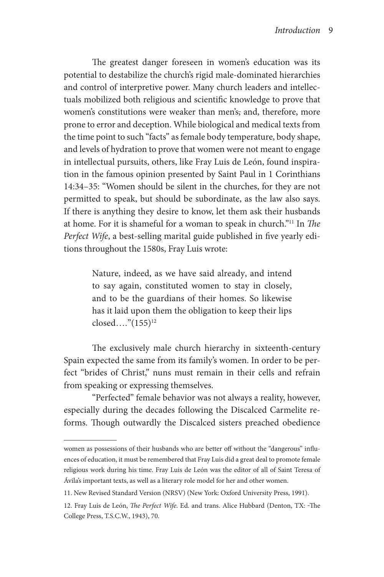The greatest danger foreseen in women's education was its potential to destabilize the church's rigid male-dominated hierarchies and control of interpretive power. Many church leaders and intellectuals mobilized both religious and scientific knowledge to prove that women's constitutions were weaker than men's, and, therefore, more prone to error and deception. While biological and medical texts from the time point to such "facts" as female body temperature, body shape, and levels of hydration to prove that women were not meant to engage in intellectual pursuits, others, like Fray Luis de León, found inspiration in the famous opinion presented by Saint Paul in 1 Corinthians 14:34–35: "Women should be silent in the churches, for they are not permitted to speak, but should be subordinate, as the law also says. If there is anything they desire to know, let them ask their husbands at home. For it is shameful for a woman to speak in church."11 In *The Perfect Wife*, a best-selling marital guide published in five yearly editions throughout the 1580s, Fray Luis wrote:

> Nature, indeed, as we have said already, and intend to say again, constituted women to stay in closely, and to be the guardians of their homes. So likewise has it laid upon them the obligation to keep their lips closed…."(155)12

The exclusively male church hierarchy in sixteenth-century Spain expected the same from its family's women. In order to be perfect "brides of Christ," nuns must remain in their cells and refrain from speaking or expressing themselves.

"Perfected" female behavior was not always a reality, however, especially during the decades following the Discalced Carmelite reforms. Though outwardly the Discalced sisters preached obedience

women as possessions of their husbands who are better off without the "dangerous" influences of education, it must be remembered that Fray Luis did a great deal to promote female religious work during his time. Fray Luis de León was the editor of all of Saint Teresa of Ávila's important texts, as well as a literary role model for her and other women.

<sup>11.</sup> New Revised Standard Version (NRSV) (New York: Oxford University Press, 1991).

<sup>12.</sup> Fray Luis de León, *The Perfect Wife*. Ed. and trans. Alice Hubbard (Denton, TX: The College Press, T.S.C.W., 1943), 70.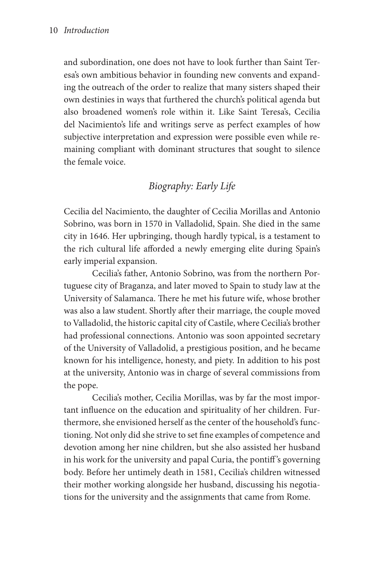and subordination, one does not have to look further than Saint Teresa's own ambitious behavior in founding new convents and expanding the outreach of the order to realize that many sisters shaped their own destinies in ways that furthered the church's political agenda but also broadened women's role within it. Like Saint Teresa's, Cecilia del Nacimiento's life and writings serve as perfect examples of how subjective interpretation and expression were possible even while remaining compliant with dominant structures that sought to silence the female voice.

# *Biography: Early Life*

Cecilia del Nacimiento, the daughter of Cecilia Morillas and Antonio Sobrino, was born in 1570 in Valladolid, Spain. She died in the same city in 1646. Her upbringing, though hardly typical, is a testament to the rich cultural life afforded a newly emerging elite during Spain's early imperial expansion.

Cecilia's father, Antonio Sobrino, was from the northern Portuguese city of Braganza, and later moved to Spain to study law at the University of Salamanca. There he met his future wife, whose brother was also a law student. Shortly after their marriage, the couple moved to Valladolid, the historic capital city of Castile, where Cecilia's brother had professional connections. Antonio was soon appointed secretary of the University of Valladolid, a prestigious position, and he became known for his intelligence, honesty, and piety. In addition to his post at the university, Antonio was in charge of several commissions from the pope.

Cecilia's mother, Cecilia Morillas, was by far the most important influence on the education and spirituality of her children. Furthermore, she envisioned herself as the center of the household's functioning. Not only did she strive to set fine examples of competence and devotion among her nine children, but she also assisted her husband in his work for the university and papal Curia, the pontiff 's governing body. Before her untimely death in 1581, Cecilia's children witnessed their mother working alongside her husband, discussing his negotiations for the university and the assignments that came from Rome.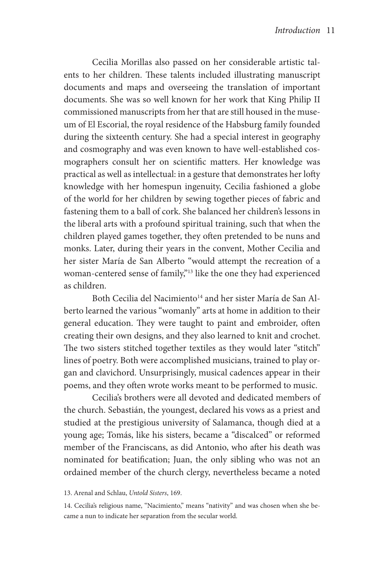Cecilia Morillas also passed on her considerable artistic talents to her children. These talents included illustrating manuscript documents and maps and overseeing the translation of important documents. She was so well known for her work that King Philip II commissioned manuscripts from her that are still housed in the museum of El Escorial, the royal residence of the Habsburg family founded during the sixteenth century. She had a special interest in geography and cosmography and was even known to have well-established cosmographers consult her on scientific matters. Her knowledge was practical as well as intellectual: in a gesture that demonstrates her lofty knowledge with her homespun ingenuity, Cecilia fashioned a globe of the world for her children by sewing together pieces of fabric and fastening them to a ball of cork. She balanced her children's lessons in the liberal arts with a profound spiritual training, such that when the children played games together, they often pretended to be nuns and monks. Later, during their years in the convent, Mother Cecilia and her sister María de San Alberto "would attempt the recreation of a woman-centered sense of family,"13 like the one they had experienced as children.

Both Cecilia del Nacimiento<sup>14</sup> and her sister María de San Alberto learned the various "womanly" arts at home in addition to their general education. They were taught to paint and embroider, often creating their own designs, and they also learned to knit and crochet. The two sisters stitched together textiles as they would later "stitch" lines of poetry. Both were accomplished musicians, trained to play organ and clavichord. Unsurprisingly, musical cadences appear in their poems, and they often wrote works meant to be performed to music.

Cecilia's brothers were all devoted and dedicated members of the church. Sebastián, the youngest, declared his vows as a priest and studied at the prestigious university of Salamanca, though died at a young age; Tomás, like his sisters, became a "discalced" or reformed member of the Franciscans, as did Antonio, who after his death was nominated for beatification; Juan, the only sibling who was not an ordained member of the church clergy, nevertheless became a noted

<sup>13.</sup> Arenal and Schlau, *Untold Sisters*, 169.

<sup>14.</sup> Cecilia's religious name, "Nacimiento," means "nativity" and was chosen when she became a nun to indicate her separation from the secular world.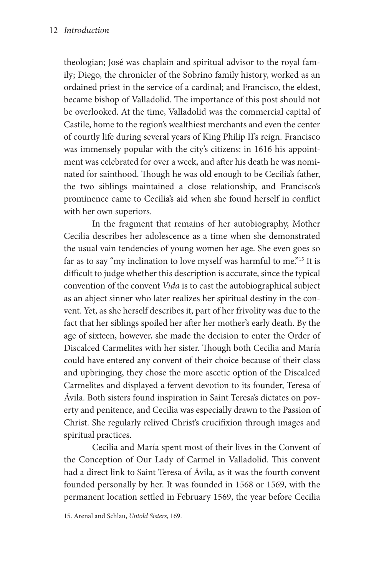theologian; José was chaplain and spiritual advisor to the royal family; Diego, the chronicler of the Sobrino family history, worked as an ordained priest in the service of a cardinal; and Francisco, the eldest, became bishop of Valladolid. The importance of this post should not be overlooked. At the time, Valladolid was the commercial capital of Castile, home to the region's wealthiest merchants and even the center of courtly life during several years of King Philip II's reign. Francisco was immensely popular with the city's citizens: in 1616 his appointment was celebrated for over a week, and after his death he was nominated for sainthood. Though he was old enough to be Cecilia's father, the two siblings maintained a close relationship, and Francisco's prominence came to Cecilia's aid when she found herself in conflict with her own superiors.

In the fragment that remains of her autobiography, Mother Cecilia describes her adolescence as a time when she demonstrated the usual vain tendencies of young women her age. She even goes so far as to say "my inclination to love myself was harmful to me."15 It is difficult to judge whether this description is accurate, since the typical convention of the convent *Vida* is to cast the autobiographical subject as an abject sinner who later realizes her spiritual destiny in the convent. Yet, as she herself describes it, part of her frivolity was due to the fact that her siblings spoiled her after her mother's early death. By the age of sixteen, however, she made the decision to enter the Order of Discalced Carmelites with her sister. Though both Cecilia and María could have entered any convent of their choice because of their class and upbringing, they chose the more ascetic option of the Discalced Carmelites and displayed a fervent devotion to its founder, Teresa of Ávila. Both sisters found inspiration in Saint Teresa's dictates on poverty and penitence, and Cecilia was especially drawn to the Passion of Christ. She regularly relived Christ's crucifixion through images and spiritual practices.

Cecilia and María spent most of their lives in the Convent of the Conception of Our Lady of Carmel in Valladolid. This convent had a direct link to Saint Teresa of Ávila, as it was the fourth convent founded personally by her. It was founded in 1568 or 1569, with the permanent location settled in February 1569, the year before Cecilia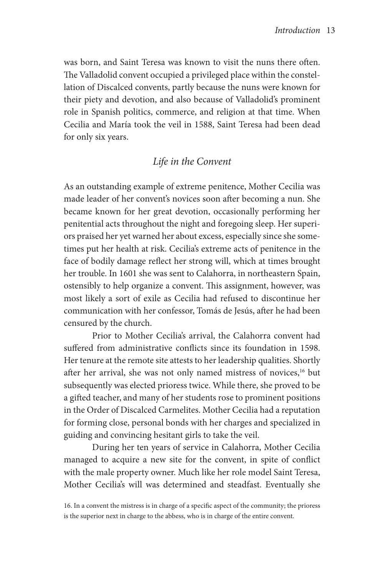was born, and Saint Teresa was known to visit the nuns there often. The Valladolid convent occupied a privileged place within the constellation of Discalced convents, partly because the nuns were known for their piety and devotion, and also because of Valladolid's prominent role in Spanish politics, commerce, and religion at that time. When Cecilia and María took the veil in 1588, Saint Teresa had been dead for only six years.

# *Life in the Convent*

As an outstanding example of extreme penitence, Mother Cecilia was made leader of her convent's novices soon after becoming a nun. She became known for her great devotion, occasionally performing her penitential acts throughout the night and foregoing sleep. Her superiors praised her yet warned her about excess, especially since she sometimes put her health at risk. Cecilia's extreme acts of penitence in the face of bodily damage reflect her strong will, which at times brought her trouble. In 1601 she was sent to Calahorra, in northeastern Spain, ostensibly to help organize a convent. This assignment, however, was most likely a sort of exile as Cecilia had refused to discontinue her communication with her confessor, Tomás de Jesús, after he had been censured by the church.

Prior to Mother Cecilia's arrival, the Calahorra convent had suffered from administrative conflicts since its foundation in 1598. Her tenure at the remote site attests to her leadership qualities. Shortly after her arrival, she was not only named mistress of novices,<sup>16</sup> but subsequently was elected prioress twice. While there, she proved to be a gifted teacher, and many of her students rose to prominent positions in the Order of Discalced Carmelites. Mother Cecilia had a reputation for forming close, personal bonds with her charges and specialized in guiding and convincing hesitant girls to take the veil.

During her ten years of service in Calahorra, Mother Cecilia managed to acquire a new site for the convent, in spite of conflict with the male property owner. Much like her role model Saint Teresa, Mother Cecilia's will was determined and steadfast. Eventually she

<sup>16.</sup> In a convent the mistress is in charge of a specific aspect of the community; the prioress is the superior next in charge to the abbess, who is in charge of the entire convent.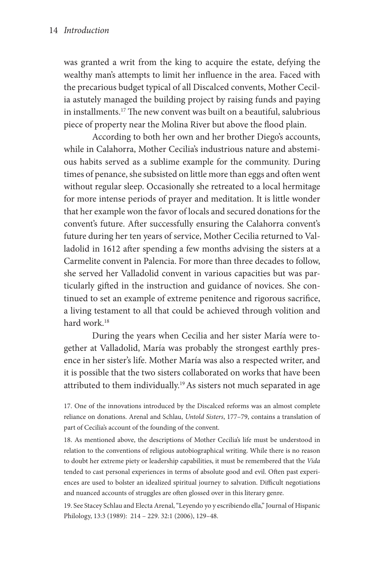was granted a writ from the king to acquire the estate, defying the wealthy man's attempts to limit her influence in the area. Faced with the precarious budget typical of all Discalced convents, Mother Cecilia astutely managed the building project by raising funds and paying in installments.17 The new convent was built on a beautiful, salubrious piece of property near the Molina River but above the flood plain.

According to both her own and her brother Diego's accounts, while in Calahorra, Mother Cecilia's industrious nature and abstemious habits served as a sublime example for the community. During times of penance, she subsisted on little more than eggs and often went without regular sleep. Occasionally she retreated to a local hermitage for more intense periods of prayer and meditation. It is little wonder that her example won the favor of locals and secured donations for the convent's future. After successfully ensuring the Calahorra convent's future during her ten years of service, Mother Cecilia returned to Valladolid in 1612 after spending a few months advising the sisters at a Carmelite convent in Palencia. For more than three decades to follow, she served her Valladolid convent in various capacities but was particularly gifted in the instruction and guidance of novices. She continued to set an example of extreme penitence and rigorous sacrifice, a living testament to all that could be achieved through volition and hard work<sup>18</sup>

During the years when Cecilia and her sister María were together at Valladolid, María was probably the strongest earthly presence in her sister's life. Mother María was also a respected writer, and it is possible that the two sisters collaborated on works that have been attributed to them individually.<sup>19</sup> As sisters not much separated in age

17. One of the innovations introduced by the Discalced reforms was an almost complete reliance on donations. Arenal and Schlau, *Untold Sisters*, 177–79, contains a translation of part of Cecilia's account of the founding of the convent.

18. As mentioned above, the descriptions of Mother Cecilia's life must be understood in relation to the conventions of religious autobiographical writing. While there is no reason to doubt her extreme piety or leadership capabilities, it must be remembered that the *Vida* tended to cast personal experiences in terms of absolute good and evil. Often past experiences are used to bolster an idealized spiritual journey to salvation. Difficult negotiations and nuanced accounts of struggles are often glossed over in this literary genre.

19. See Stacey Schlau and Electa Arenal, "Leyendo yo y escribiendo ella," Journal of Hispanic Philology, 13:3 (1989): 214 – 229. 32:1 (2006), 129–48.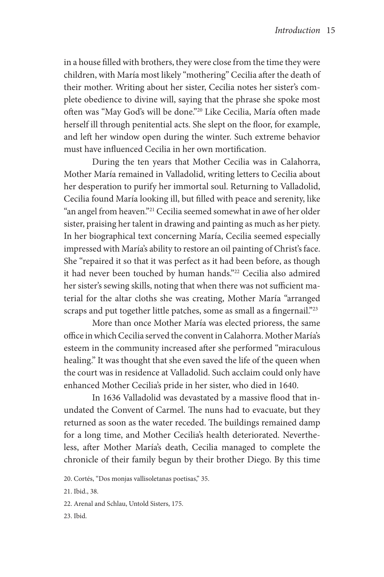in a house filled with brothers, they were close from the time they were children, with María most likely "mothering" Cecilia after the death of their mother. Writing about her sister, Cecilia notes her sister's complete obedience to divine will, saying that the phrase she spoke most often was "May God's will be done."20 Like Cecilia, María often made herself ill through penitential acts. She slept on the floor, for example, and left her window open during the winter. Such extreme behavior must have influenced Cecilia in her own mortification.

During the ten years that Mother Cecilia was in Calahorra, Mother María remained in Valladolid, writing letters to Cecilia about her desperation to purify her immortal soul. Returning to Valladolid, Cecilia found María looking ill, but filled with peace and serenity, like "an angel from heaven."21 Cecilia seemed somewhat in awe of her older sister, praising her talent in drawing and painting as much as her piety. In her biographical text concerning María, Cecilia seemed especially impressed with María's ability to restore an oil painting of Christ's face. She "repaired it so that it was perfect as it had been before, as though it had never been touched by human hands."22 Cecilia also admired her sister's sewing skills, noting that when there was not sufficient material for the altar cloths she was creating, Mother María "arranged scraps and put together little patches, some as small as a fingernail."<sup>23</sup>

More than once Mother María was elected prioress, the same office in which Cecilia served the convent in Calahorra. Mother María's esteem in the community increased after she performed "miraculous healing." It was thought that she even saved the life of the queen when the court was in residence at Valladolid. Such acclaim could only have enhanced Mother Cecilia's pride in her sister, who died in 1640.

In 1636 Valladolid was devastated by a massive flood that inundated the Convent of Carmel. The nuns had to evacuate, but they returned as soon as the water receded. The buildings remained damp for a long time, and Mother Cecilia's health deteriorated. Nevertheless, after Mother María's death, Cecilia managed to complete the chronicle of their family begun by their brother Diego. By this time

<sup>20.</sup> Cortés, "Dos monjas vallisoletanas poetisas," 35.

<sup>21.</sup> Ibid., 38.

<sup>22.</sup> Arenal and Schlau, Untold Sisters, 175.

<sup>23.</sup> Ibid.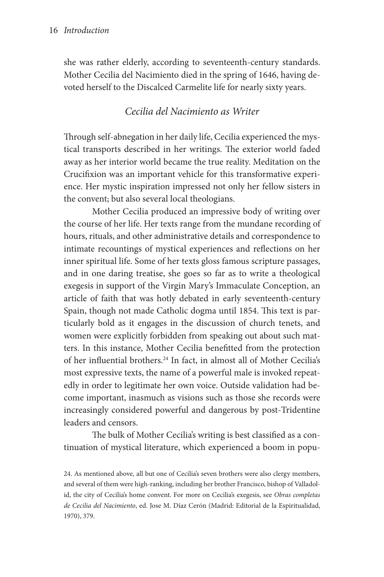she was rather elderly, according to seventeenth-century standards. Mother Cecilia del Nacimiento died in the spring of 1646, having devoted herself to the Discalced Carmelite life for nearly sixty years.

# *Cecilia del Nacimiento as Writer*

Through self-abnegation in her daily life, Cecilia experienced the mystical transports described in her writings. The exterior world faded away as her interior world became the true reality. Meditation on the Crucifixion was an important vehicle for this transformative experience. Her mystic inspiration impressed not only her fellow sisters in the convent, but also several local theologians.

Mother Cecilia produced an impressive body of writing over the course of her life. Her texts range from the mundane recording of hours, rituals, and other administrative details and correspondence to intimate recountings of mystical experiences and reflections on her inner spiritual life. Some of her texts gloss famous scripture passages, and in one daring treatise, she goes so far as to write a theological exegesis in support of the Virgin Mary's Immaculate Conception, an article of faith that was hotly debated in early seventeenth-century Spain, though not made Catholic dogma until 1854. This text is particularly bold as it engages in the discussion of church tenets, and women were explicitly forbidden from speaking out about such matters. In this instance, Mother Cecilia benefitted from the protection of her influential brothers.24 In fact, in almost all of Mother Cecilia's most expressive texts, the name of a powerful male is invoked repeatedly in order to legitimate her own voice. Outside validation had become important, inasmuch as visions such as those she records were increasingly considered powerful and dangerous by post-Tridentine leaders and censors.

The bulk of Mother Cecilia's writing is best classified as a continuation of mystical literature, which experienced a boom in popu-

24. As mentioned above, all but one of Cecilia's seven brothers were also clergy members, and several of them were high-ranking, including her brother Francisco, bishop of Valladolid, the city of Cecilia's home convent. For more on Cecilia's exegesis, see *Obras completas de Cecilia del Nacimiento*, ed. Jose M. Díaz Cerón (Madrid: Editorial de la Espiritualidad, 1970), 379.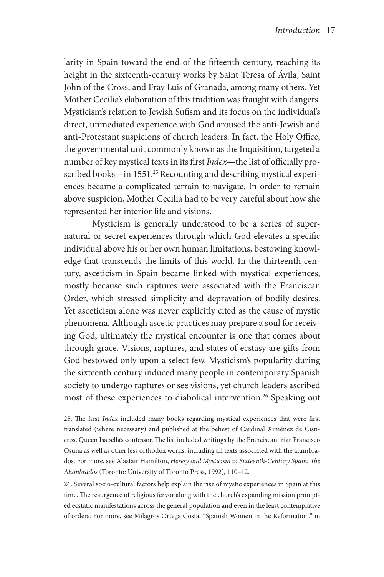larity in Spain toward the end of the fifteenth century, reaching its height in the sixteenth-century works by Saint Teresa of Ávila, Saint John of the Cross, and Fray Luis of Granada, among many others. Yet Mother Cecilia's elaboration of this tradition was fraught with dangers. Mysticism's relation to Jewish Sufism and its focus on the individual's direct, unmediated experience with God aroused the anti-Jewish and anti-Protestant suspicions of church leaders. In fact, the Holy Office, the governmental unit commonly known as the Inquisition, targeted a number of key mystical texts in its first *Index*—the list of officially proscribed books—in 1551.<sup>25</sup> Recounting and describing mystical experiences became a complicated terrain to navigate. In order to remain above suspicion, Mother Cecilia had to be very careful about how she represented her interior life and visions.

Mysticism is generally understood to be a series of supernatural or secret experiences through which God elevates a specific individual above his or her own human limitations, bestowing knowledge that transcends the limits of this world. In the thirteenth century, asceticism in Spain became linked with mystical experiences, mostly because such raptures were associated with the Franciscan Order, which stressed simplicity and depravation of bodily desires. Yet asceticism alone was never explicitly cited as the cause of mystic phenomena. Although ascetic practices may prepare a soul for receiving God, ultimately the mystical encounter is one that comes about through grace. Visions, raptures, and states of ecstasy are gifts from God bestowed only upon a select few. Mysticism's popularity during the sixteenth century induced many people in contemporary Spanish society to undergo raptures or see visions, yet church leaders ascribed most of these experiences to diabolical intervention.<sup>26</sup> Speaking out

25. The first *Index* included many books regarding mystical experiences that were first translated (where necessary) and published at the behest of Cardinal Ximénez de Cisneros, Queen Isabella's confessor. The list included writings by the Franciscan friar Francisco Osuna as well as other less orthodox works, including all texts associated with the alumbrados. For more, see Alastair Hamilton, *Heresy and Mysticism in Sixteenth-Century Spain: The Alumbrados* (Toronto: University of Toronto Press, 1992), 110–12.

26. Several socio-cultural factors help explain the rise of mystic experiences in Spain at this time. The resurgence of religious fervor along with the church's expanding mission prompted ecstatic manifestations across the general population and even in the least contemplative of orders. For more, see Milagros Ortega Costa, "Spanish Women in the Reformation," in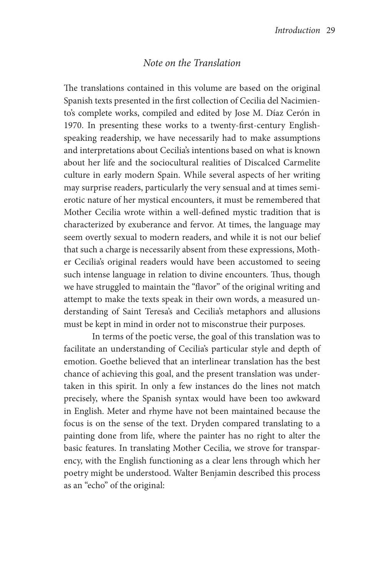### *Note on the Translation*

The translations contained in this volume are based on the original Spanish texts presented in the first collection of Cecilia del Nacimiento's complete works, compiled and edited by Jose M. Díaz Cerón in 1970. In presenting these works to a twenty-first-century Englishspeaking readership, we have necessarily had to make assumptions and interpretations about Cecilia's intentions based on what is known about her life and the sociocultural realities of Discalced Carmelite culture in early modern Spain. While several aspects of her writing may surprise readers, particularly the very sensual and at times semierotic nature of her mystical encounters, it must be remembered that Mother Cecilia wrote within a well-defined mystic tradition that is characterized by exuberance and fervor. At times, the language may seem overtly sexual to modern readers, and while it is not our belief that such a charge is necessarily absent from these expressions, Mother Cecilia's original readers would have been accustomed to seeing such intense language in relation to divine encounters. Thus, though we have struggled to maintain the "flavor" of the original writing and attempt to make the texts speak in their own words, a measured understanding of Saint Teresa's and Cecilia's metaphors and allusions must be kept in mind in order not to misconstrue their purposes.

In terms of the poetic verse, the goal of this translation was to facilitate an understanding of Cecilia's particular style and depth of emotion. Goethe believed that an interlinear translation has the best chance of achieving this goal, and the present translation was undertaken in this spirit. In only a few instances do the lines not match precisely, where the Spanish syntax would have been too awkward in English. Meter and rhyme have not been maintained because the focus is on the sense of the text. Dryden compared translating to a painting done from life, where the painter has no right to alter the basic features. In translating Mother Cecilia, we strove for transparency, with the English functioning as a clear lens through which her poetry might be understood. Walter Benjamin described this process as an "echo" of the original: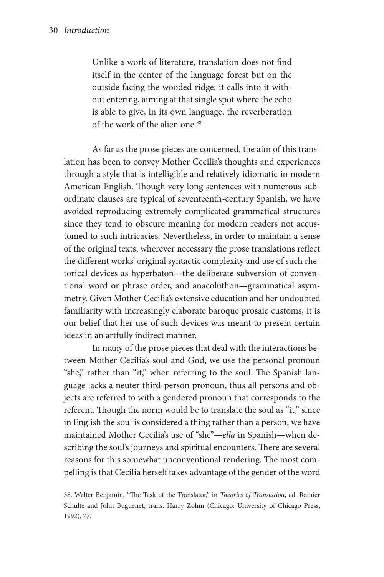Unlike a work of literature, translation does not find itself in the center of the language forest but on the outside facing the wooded ridge; it calls into it without entering, aiming at that single spot where the echo is able to give, in its own language, the reverberation of the work of the alien one.<sup>38</sup>

As far as the prose pieces are concerned, the aim of this translation has been to convey Mother Cecilia's thoughts and experiences through a style that is intelligible and relatively idiomatic in modern American English. Though very long sentences with numerous subordinate clauses are typical of seventeenth-century Spanish, we have avoided reproducing extremely complicated grammatical structures since they tend to obscure meaning for modern readers not accustomed to such intricacies. Nevertheless, in order to maintain a sense of the original texts, wherever necessary the prose translations reflect the different works' original syntactic complexity and use of such rhetorical devices as hyperbaton—the deliberate subversion of conventional word or phrase order, and anacoluthon—grammatical asymmetry. Given Mother Cecilia's extensive education and her undoubted familiarity with increasingly elaborate baroque prosaic customs, it is our belief that her use of such devices was meant to present certain ideas in an artfully indirect manner.

In many of the prose pieces that deal with the interactions between Mother Cecilia's soul and God, we use the personal pronoun "she," rather than "it," when referring to the soul. The Spanish language lacks a neuter third-person pronoun, thus all persons and objects are referred to with a gendered pronoun that corresponds to the referent. Though the norm would be to translate the soul as "it," since in English the soul is considered a thing rather than a person, we have maintained Mother Cecilia's use of "she"—*ella* in Spanish—when describing the soul's journeys and spiritual encounters. There are several reasons for this somewhat unconventional rendering. The most compelling is that Cecilia herself takes advantage of the gender of the word

<sup>38.</sup> Walter Benjamin, "The Task of the Translator," in *Theories of Translation*, ed. Rainier Schulte and John Buguenet, trans. Harry Zohm (Chicago: University of Chicago Press, 1992), 77.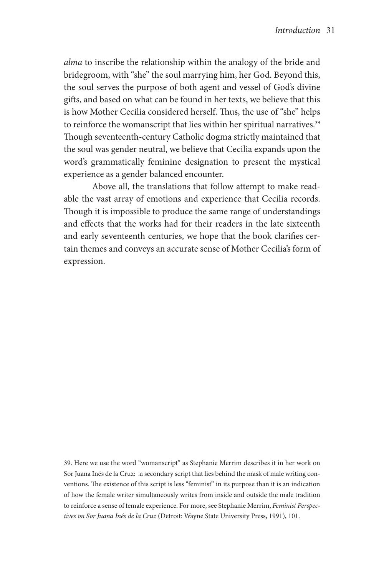*alma* to inscribe the relationship within the analogy of the bride and bridegroom, with "she" the soul marrying him, her God. Beyond this, the soul serves the purpose of both agent and vessel of God's divine gifts, and based on what can be found in her texts, we believe that this is how Mother Cecilia considered herself. Thus, the use of "she" helps to reinforce the womanscript that lies within her spiritual narratives.<sup>39</sup> Though seventeenth-century Catholic dogma strictly maintained that the soul was gender neutral, we believe that Cecilia expands upon the word's grammatically feminine designation to present the mystical experience as a gender balanced encounter.

Above all, the translations that follow attempt to make readable the vast array of emotions and experience that Cecilia records. Though it is impossible to produce the same range of understandings and effects that the works had for their readers in the late sixteenth and early seventeenth centuries, we hope that the book clarifies certain themes and conveys an accurate sense of Mother Cecilia's form of expression.

39. Here we use the word "womanscript" as Stephanie Merrim describes it in her work on Sor Juana Inés de la Cruz: .a secondary script that lies behind the mask of male writing conventions. The existence of this script is less "feminist" in its purpose than it is an indication of how the female writer simultaneously writes from inside and outside the male tradition to reinforce a sense of female experience. For more, see Stephanie Merrim, *Feminist Perspectives on Sor Juana Inés de la Cruz* (Detroit: Wayne State University Press, 1991), 101.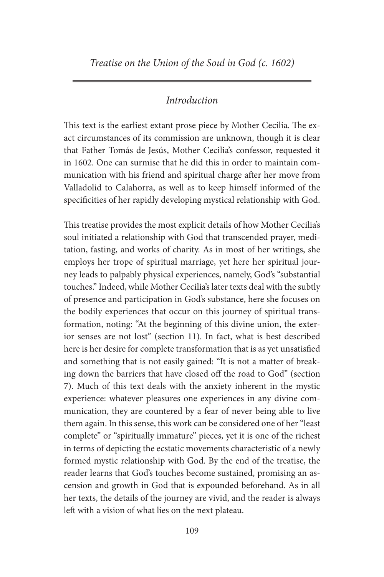## *Introduction*

This text is the earliest extant prose piece by Mother Cecilia. The exact circumstances of its commission are unknown, though it is clear that Father Tomás de Jesús, Mother Cecilia's confessor, requested it in 1602. One can surmise that he did this in order to maintain communication with his friend and spiritual charge after her move from Valladolid to Calahorra, as well as to keep himself informed of the specificities of her rapidly developing mystical relationship with God.

This treatise provides the most explicit details of how Mother Cecilia's soul initiated a relationship with God that transcended prayer, meditation, fasting, and works of charity. As in most of her writings, she employs her trope of spiritual marriage, yet here her spiritual journey leads to palpably physical experiences, namely, God's "substantial touches." Indeed, while Mother Cecilia's later texts deal with the subtly of presence and participation in God's substance, here she focuses on the bodily experiences that occur on this journey of spiritual transformation, noting: "At the beginning of this divine union, the exterior senses are not lost" (section 11). In fact, what is best described here is her desire for complete transformation that is as yet unsatisfied and something that is not easily gained: "It is not a matter of breaking down the barriers that have closed off the road to God" (section 7). Much of this text deals with the anxiety inherent in the mystic experience: whatever pleasures one experiences in any divine communication, they are countered by a fear of never being able to live them again. In this sense, this work can be considered one of her "least complete" or "spiritually immature" pieces, yet it is one of the richest in terms of depicting the ecstatic movements characteristic of a newly formed mystic relationship with God. By the end of the treatise, the reader learns that God's touches become sustained, promising an ascension and growth in God that is expounded beforehand. As in all her texts, the details of the journey are vivid, and the reader is always left with a vision of what lies on the next plateau.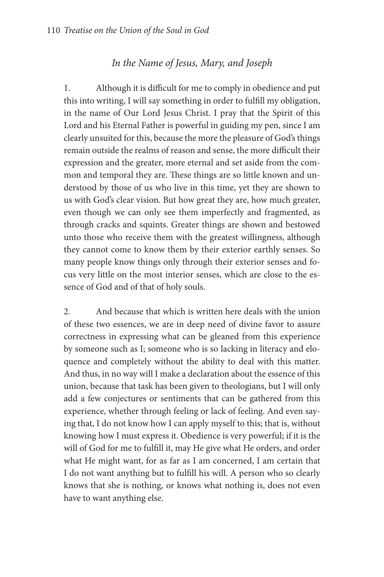# *In the Name of Jesus, Mary, and Joseph*

1. Although it is difficult for me to comply in obedience and put this into writing, I will say something in order to fulfill my obligation, in the name of Our Lord Jesus Christ. I pray that the Spirit of this Lord and his Eternal Father is powerful in guiding my pen, since I am clearly unsuited for this, because the more the pleasure of God's things remain outside the realms of reason and sense, the more difficult their expression and the greater, more eternal and set aside from the common and temporal they are. These things are so little known and understood by those of us who live in this time, yet they are shown to us with God's clear vision. But how great they are, how much greater, even though we can only see them imperfectly and fragmented, as through cracks and squints. Greater things are shown and bestowed unto those who receive them with the greatest willingness, although they cannot come to know them by their exterior earthly senses. So many people know things only through their exterior senses and focus very little on the most interior senses, which are close to the essence of God and of that of holy souls.

2. And because that which is written here deals with the union of these two essences, we are in deep need of divine favor to assure correctness in expressing what can be gleaned from this experience by someone such as I; someone who is so lacking in literacy and eloquence and completely without the ability to deal with this matter. And thus, in no way will I make a declaration about the essence of this union, because that task has been given to theologians, but I will only add a few conjectures or sentiments that can be gathered from this experience, whether through feeling or lack of feeling. And even saying that, I do not know how I can apply myself to this; that is, without knowing how I must express it. Obedience is very powerful; if it is the will of God for me to fulfill it, may He give what He orders, and order what He might want, for as far as I am concerned, I am certain that I do not want anything but to fulfill his will. A person who so clearly knows that she is nothing, or knows what nothing is, does not even have to want anything else.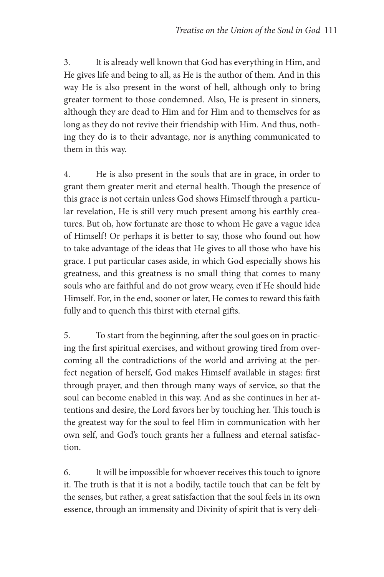3. It is already well known that God has everything in Him, and He gives life and being to all, as He is the author of them. And in this way He is also present in the worst of hell, although only to bring greater torment to those condemned. Also, He is present in sinners, although they are dead to Him and for Him and to themselves for as long as they do not revive their friendship with Him. And thus, nothing they do is to their advantage, nor is anything communicated to them in this way.

4. He is also present in the souls that are in grace, in order to grant them greater merit and eternal health. Though the presence of this grace is not certain unless God shows Himself through a particular revelation, He is still very much present among his earthly creatures. But oh, how fortunate are those to whom He gave a vague idea of Himself! Or perhaps it is better to say, those who found out how to take advantage of the ideas that He gives to all those who have his grace. I put particular cases aside, in which God especially shows his greatness, and this greatness is no small thing that comes to many souls who are faithful and do not grow weary, even if He should hide Himself. For, in the end, sooner or later, He comes to reward this faith fully and to quench this thirst with eternal gifts.

5. To start from the beginning, after the soul goes on in practicing the first spiritual exercises, and without growing tired from overcoming all the contradictions of the world and arriving at the perfect negation of herself, God makes Himself available in stages: first through prayer, and then through many ways of service, so that the soul can become enabled in this way. And as she continues in her attentions and desire, the Lord favors her by touching her. This touch is the greatest way for the soul to feel Him in communication with her own self, and God's touch grants her a fullness and eternal satisfaction.

6. It will be impossible for whoever receives this touch to ignore it. The truth is that it is not a bodily, tactile touch that can be felt by the senses, but rather, a great satisfaction that the soul feels in its own essence, through an immensity and Divinity of spirit that is very deli-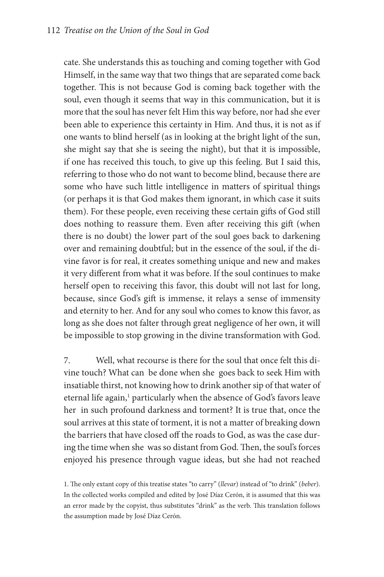cate. She understands this as touching and coming together with God Himself, in the same way that two things that are separated come back together. This is not because God is coming back together with the soul, even though it seems that way in this communication, but it is more that the soul has never felt Him this way before, nor had she ever been able to experience this certainty in Him. And thus, it is not as if one wants to blind herself (as in looking at the bright light of the sun, she might say that she is seeing the night), but that it is impossible, if one has received this touch, to give up this feeling. But I said this, referring to those who do not want to become blind, because there are some who have such little intelligence in matters of spiritual things (or perhaps it is that God makes them ignorant, in which case it suits them). For these people, even receiving these certain gifts of God still does nothing to reassure them. Even after receiving this gift (when there is no doubt) the lower part of the soul goes back to darkening over and remaining doubtful; but in the essence of the soul, if the divine favor is for real, it creates something unique and new and makes it very different from what it was before. If the soul continues to make herself open to receiving this favor, this doubt will not last for long, because, since God's gift is immense, it relays a sense of immensity and eternity to her. And for any soul who comes to know this favor, as long as she does not falter through great negligence of her own, it will be impossible to stop growing in the divine transformation with God.

7. Well, what recourse is there for the soul that once felt this divine touch? What can be done when she goes back to seek Him with insatiable thirst, not knowing how to drink another sip of that water of eternal life again,<sup>1</sup> particularly when the absence of God's favors leave her in such profound darkness and torment? It is true that, once the soul arrives at this state of torment, it is not a matter of breaking down the barriers that have closed off the roads to God, as was the case during the time when she was so distant from God. Then, the soul's forces enjoyed his presence through vague ideas, but she had not reached

1. The only extant copy of this treatise states "to carry" (*llevar*) instead of "to drink" (*beber*). In the collected works compiled and edited by José Díaz Cerón, it is assumed that this was an error made by the copyist, thus substitutes "drink" as the verb. This translation follows the assumption made by José Díaz Cerón.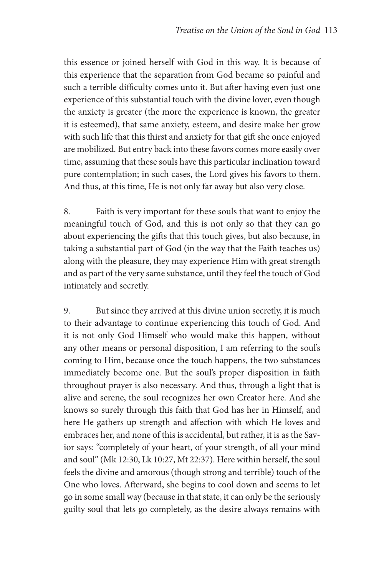this essence or joined herself with God in this way. It is because of this experience that the separation from God became so painful and such a terrible difficulty comes unto it. But after having even just one experience of this substantial touch with the divine lover, even though the anxiety is greater (the more the experience is known, the greater it is esteemed), that same anxiety, esteem, and desire make her grow with such life that this thirst and anxiety for that gift she once enjoyed are mobilized. But entry back into these favors comes more easily over time, assuming that these souls have this particular inclination toward pure contemplation; in such cases, the Lord gives his favors to them. And thus, at this time, He is not only far away but also very close.

8. Faith is very important for these souls that want to enjoy the meaningful touch of God, and this is not only so that they can go about experiencing the gifts that this touch gives, but also because, in taking a substantial part of God (in the way that the Faith teaches us) along with the pleasure, they may experience Him with great strength and as part of the very same substance, until they feel the touch of God intimately and secretly.

9. But since they arrived at this divine union secretly, it is much to their advantage to continue experiencing this touch of God. And it is not only God Himself who would make this happen, without any other means or personal disposition, I am referring to the soul's coming to Him, because once the touch happens, the two substances immediately become one. But the soul's proper disposition in faith throughout prayer is also necessary. And thus, through a light that is alive and serene, the soul recognizes her own Creator here. And she knows so surely through this faith that God has her in Himself, and here He gathers up strength and affection with which He loves and embraces her, and none of this is accidental, but rather, it is as the Savior says: "completely of your heart, of your strength, of all your mind and soul" (Mk 12:30, Lk 10:27, Mt 22:37). Here within herself, the soul feels the divine and amorous (though strong and terrible) touch of the One who loves. Afterward, she begins to cool down and seems to let go in some small way (because in that state, it can only be the seriously guilty soul that lets go completely, as the desire always remains with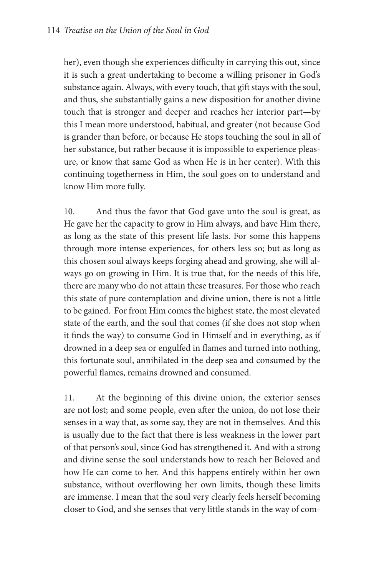her), even though she experiences difficulty in carrying this out, since it is such a great undertaking to become a willing prisoner in God's substance again. Always, with every touch, that gift stays with the soul, and thus, she substantially gains a new disposition for another divine touch that is stronger and deeper and reaches her interior part—by this I mean more understood, habitual, and greater (not because God is grander than before, or because He stops touching the soul in all of her substance, but rather because it is impossible to experience pleasure, or know that same God as when He is in her center). With this continuing togetherness in Him, the soul goes on to understand and know Him more fully.

10. And thus the favor that God gave unto the soul is great, as He gave her the capacity to grow in Him always, and have Him there, as long as the state of this present life lasts. For some this happens through more intense experiences, for others less so; but as long as this chosen soul always keeps forging ahead and growing, she will always go on growing in Him. It is true that, for the needs of this life, there are many who do not attain these treasures. For those who reach this state of pure contemplation and divine union, there is not a little to be gained. For from Him comes the highest state, the most elevated state of the earth, and the soul that comes (if she does not stop when it finds the way) to consume God in Himself and in everything, as if drowned in a deep sea or engulfed in flames and turned into nothing, this fortunate soul, annihilated in the deep sea and consumed by the powerful flames, remains drowned and consumed.

11. At the beginning of this divine union, the exterior senses are not lost; and some people, even after the union, do not lose their senses in a way that, as some say, they are not in themselves. And this is usually due to the fact that there is less weakness in the lower part of that person's soul, since God has strengthened it. And with a strong and divine sense the soul understands how to reach her Beloved and how He can come to her. And this happens entirely within her own substance, without overflowing her own limits, though these limits are immense. I mean that the soul very clearly feels herself becoming closer to God, and she senses that very little stands in the way of com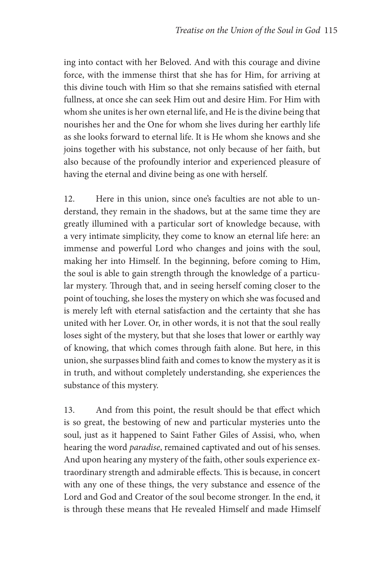ing into contact with her Beloved. And with this courage and divine force, with the immense thirst that she has for Him, for arriving at this divine touch with Him so that she remains satisfied with eternal fullness, at once she can seek Him out and desire Him. For Him with whom she unites is her own eternal life, and He is the divine being that nourishes her and the One for whom she lives during her earthly life as she looks forward to eternal life. It is He whom she knows and she joins together with his substance, not only because of her faith, but also because of the profoundly interior and experienced pleasure of having the eternal and divine being as one with herself.

12. Here in this union, since one's faculties are not able to understand, they remain in the shadows, but at the same time they are greatly illumined with a particular sort of knowledge because, with a very intimate simplicity, they come to know an eternal life here: an immense and powerful Lord who changes and joins with the soul, making her into Himself. In the beginning, before coming to Him, the soul is able to gain strength through the knowledge of a particular mystery. Through that, and in seeing herself coming closer to the point of touching, she loses the mystery on which she was focused and is merely left with eternal satisfaction and the certainty that she has united with her Lover. Or, in other words, it is not that the soul really loses sight of the mystery, but that she loses that lower or earthly way of knowing, that which comes through faith alone. But here, in this union, she surpasses blind faith and comes to know the mystery as it is in truth, and without completely understanding, she experiences the substance of this mystery.

13. And from this point, the result should be that effect which is so great, the bestowing of new and particular mysteries unto the soul, just as it happened to Saint Father Giles of Assisi, who, when hearing the word *paradise*, remained captivated and out of his senses. And upon hearing any mystery of the faith, other souls experience extraordinary strength and admirable effects. This is because, in concert with any one of these things, the very substance and essence of the Lord and God and Creator of the soul become stronger. In the end, it is through these means that He revealed Himself and made Himself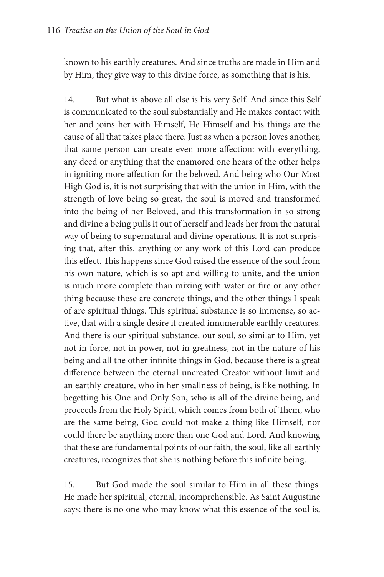known to his earthly creatures. And since truths are made in Him and by Him, they give way to this divine force, as something that is his.

14. But what is above all else is his very Self. And since this Self is communicated to the soul substantially and He makes contact with her and joins her with Himself, He Himself and his things are the cause of all that takes place there. Just as when a person loves another, that same person can create even more affection: with everything, any deed or anything that the enamored one hears of the other helps in igniting more affection for the beloved. And being who Our Most High God is, it is not surprising that with the union in Him, with the strength of love being so great, the soul is moved and transformed into the being of her Beloved, and this transformation in so strong and divine a being pulls it out of herself and leads her from the natural way of being to supernatural and divine operations. It is not surprising that, after this, anything or any work of this Lord can produce this effect. This happens since God raised the essence of the soul from his own nature, which is so apt and willing to unite, and the union is much more complete than mixing with water or fire or any other thing because these are concrete things, and the other things I speak of are spiritual things. This spiritual substance is so immense, so active, that with a single desire it created innumerable earthly creatures. And there is our spiritual substance, our soul, so similar to Him, yet not in force, not in power, not in greatness, not in the nature of his being and all the other infinite things in God, because there is a great difference between the eternal uncreated Creator without limit and an earthly creature, who in her smallness of being, is like nothing. In begetting his One and Only Son, who is all of the divine being, and proceeds from the Holy Spirit, which comes from both of Them, who are the same being, God could not make a thing like Himself, nor could there be anything more than one God and Lord. And knowing that these are fundamental points of our faith, the soul, like all earthly creatures, recognizes that she is nothing before this infinite being.

15. But God made the soul similar to Him in all these things: He made her spiritual, eternal, incomprehensible. As Saint Augustine says: there is no one who may know what this essence of the soul is,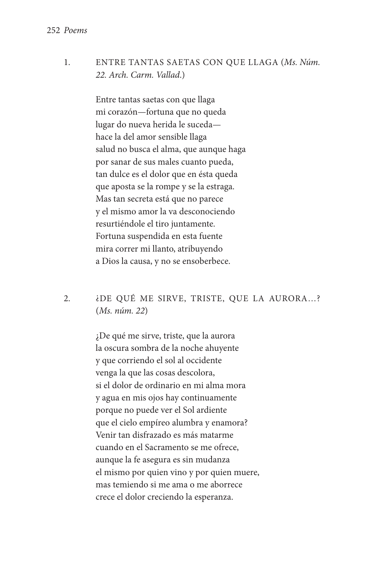1. Entre tantas saetas con que llaga (*Ms. Núm. 22. Arch. Carm. Vallad*.)

> Entre tantas saetas con que llaga mi corazón—fortuna que no queda lugar do nueva herida le suceda hace la del amor sensible llaga salud no busca el alma, que aunque haga por sanar de sus males cuanto pueda, tan dulce es el dolor que en ésta queda que aposta se la rompe y se la estraga. Mas tan secreta está que no parece y el mismo amor la va desconociendo resurtiéndole el tiro juntamente. Fortuna suspendida en esta fuente mira correr mi llanto, atribuyendo a Dios la causa, y no se ensoberbece.

## 2. ¿De qué me sirve, triste, que la aurora…? (*Ms. núm. 22*)

¿De qué me sirve, triste, que la aurora la oscura sombra de la noche ahuyente y que corriendo el sol al occidente venga la que las cosas descolora, si el dolor de ordinario en mi alma mora y agua en mis ojos hay continuamente porque no puede ver el Sol ardiente que el cielo empíreo alumbra y enamora? Venir tan disfrazado es más matarme cuando en el Sacramento se me ofrece, aunque la fe asegura es sin mudanza el mismo por quien vino y por quien muere, mas temiendo si me ama o me aborrece crece el dolor creciendo la esperanza.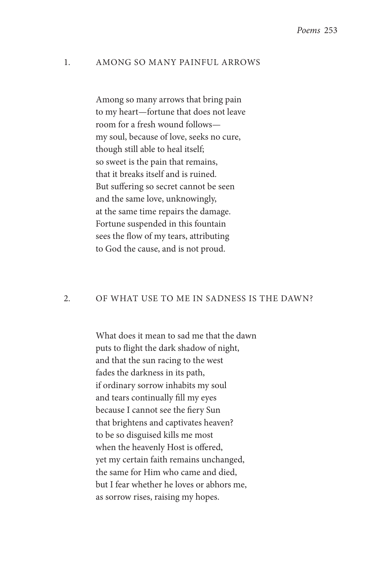#### 1. Among so many painful arrows

 Among so many arrows that bring pain to my heart—fortune that does not leave room for a fresh wound follows my soul, because of love, seeks no cure, though still able to heal itself; so sweet is the pain that remains, that it breaks itself and is ruined. But suffering so secret cannot be seen and the same love, unknowingly, at the same time repairs the damage. Fortune suspended in this fountain sees the flow of my tears, attributing to God the cause, and is not proud.

#### 2. Of what use to me in sadness is the dawn?

 What does it mean to sad me that the dawn puts to flight the dark shadow of night, and that the sun racing to the west fades the darkness in its path, if ordinary sorrow inhabits my soul and tears continually fill my eyes because I cannot see the fiery Sun that brightens and captivates heaven? to be so disguised kills me most when the heavenly Host is offered, yet my certain faith remains unchanged, the same for Him who came and died, but I fear whether he loves or abhors me, as sorrow rises, raising my hopes.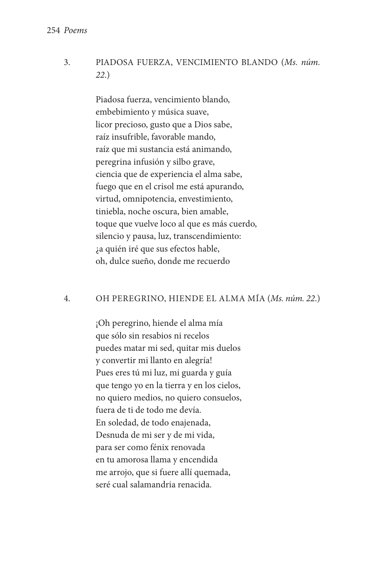3. Piadosa fuerza, vencimiento blando (*Ms. núm. 22*.)

> Piadosa fuerza, vencimiento blando, embebimiento y música suave, licor precioso, gusto que a Dios sabe, raíz insufrible, favorable mando, raíz que mi sustancia está animando, peregrina infusión y silbo grave, ciencia que de experiencia el alma sabe, fuego que en el crisol me está apurando, virtud, omnipotencia, envestimiento, tiniebla, noche oscura, bien amable, toque que vuelve loco al que es más cuerdo, silencio y pausa, luz, transcendimiento: ¿a quién iré que sus efectos hable, oh, dulce sueño, donde me recuerdo

### 4. Oh peregrino, hiende el alma mía (*Ms. núm. 22*.)

¡Oh peregrino, hiende el alma mía que sólo sin resabios ni recelos puedes matar mi sed, quitar mis duelos y convertir mi llanto en alegría! Pues eres tú mi luz, mi guarda y guía que tengo yo en la tierra y en los cielos, no quiero medios, no quiero consuelos, fuera de ti de todo me devía. En soledad, de todo enajenada, Desnuda de mi ser y de mi vida, para ser como fénix renovada en tu amorosa llama y encendida me arrojo, que si fuere allí quemada, seré cual salamandria renacida.